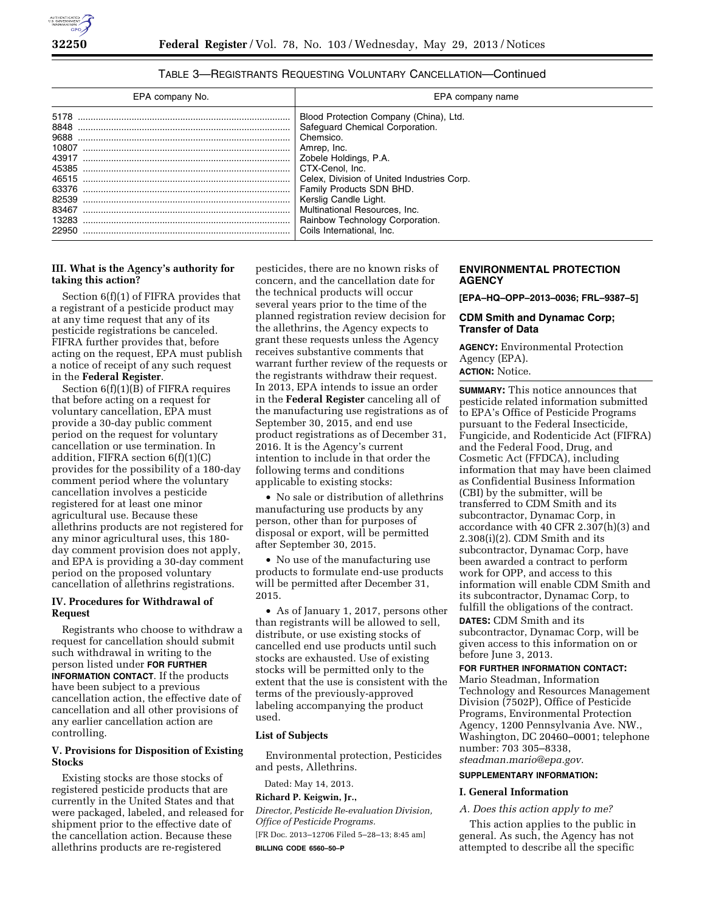# TABLE 3—REGISTRANTS REQUESTING VOLUNTARY CANCELLATION—Continued

| EPA company No.                 | EPA company name                                                                                                                                                                                                                                                                                                                                      |
|---------------------------------|-------------------------------------------------------------------------------------------------------------------------------------------------------------------------------------------------------------------------------------------------------------------------------------------------------------------------------------------------------|
| 5178<br>63376<br>83467<br>22950 | Blood Protection Company (China), Ltd.<br>Safequard Chemical Corporation.<br>Chemsico.<br>Amrep. Inc.<br>Zobele Holdings, P.A.<br>CTX-Cenol. Inc.<br>Celex, Division of United Industries Corp.<br>Family Products SDN BHD.<br>Kerslig Candle Light.<br>Multinational Resources, Inc.<br>Rainbow Technology Corporation.<br>Coils International. Inc. |

# **III. What is the Agency's authority for taking this action?**

Section 6(f)(1) of FIFRA provides that a registrant of a pesticide product may at any time request that any of its pesticide registrations be canceled. FIFRA further provides that, before acting on the request, EPA must publish a notice of receipt of any such request in the **Federal Register**.

Section  $6(f)(1)(B)$  of FIFRA requires that before acting on a request for voluntary cancellation, EPA must provide a 30-day public comment period on the request for voluntary cancellation or use termination. In addition, FIFRA section 6(f)(1)(C) provides for the possibility of a 180-day comment period where the voluntary cancellation involves a pesticide registered for at least one minor agricultural use. Because these allethrins products are not registered for any minor agricultural uses, this 180 day comment provision does not apply, and EPA is providing a 30-day comment period on the proposed voluntary cancellation of allethrins registrations.

#### **IV. Procedures for Withdrawal of Request**

Registrants who choose to withdraw a request for cancellation should submit such withdrawal in writing to the person listed under **FOR FURTHER INFORMATION CONTACT**. If the products have been subject to a previous cancellation action, the effective date of cancellation and all other provisions of any earlier cancellation action are controlling.

## **V. Provisions for Disposition of Existing Stocks**

Existing stocks are those stocks of registered pesticide products that are currently in the United States and that were packaged, labeled, and released for shipment prior to the effective date of the cancellation action. Because these allethrins products are re-registered

pesticides, there are no known risks of concern, and the cancellation date for the technical products will occur several years prior to the time of the planned registration review decision for the allethrins, the Agency expects to grant these requests unless the Agency receives substantive comments that warrant further review of the requests or the registrants withdraw their request. In 2013, EPA intends to issue an order in the **Federal Register** canceling all of the manufacturing use registrations as of September 30, 2015, and end use product registrations as of December 31, 2016. It is the Agency's current intention to include in that order the following terms and conditions applicable to existing stocks:

• No sale or distribution of allethrins manufacturing use products by any person, other than for purposes of disposal or export, will be permitted after September 30, 2015.

• No use of the manufacturing use products to formulate end-use products will be permitted after December 31, 2015.

• As of January 1, 2017, persons other than registrants will be allowed to sell, distribute, or use existing stocks of cancelled end use products until such stocks are exhausted. Use of existing stocks will be permitted only to the extent that the use is consistent with the terms of the previously-approved labeling accompanying the product used.

#### **List of Subjects**

Environmental protection, Pesticides and pests, Allethrins.

Dated: May 14, 2013.

#### **Richard P. Keigwin, Jr.,**

*Director, Pesticide Re-evaluation Division, Office of Pesticide Programs.*  [FR Doc. 2013–12706 Filed 5–28–13; 8:45 am]

**BILLING CODE 6560–50–P** 

## **ENVIRONMENTAL PROTECTION AGENCY**

**[EPA–HQ–OPP–2013–0036; FRL–9387–5]** 

### **CDM Smith and Dynamac Corp; Transfer of Data**

**AGENCY:** Environmental Protection Agency (EPA). **ACTION:** Notice.

**SUMMARY:** This notice announces that pesticide related information submitted to EPA's Office of Pesticide Programs pursuant to the Federal Insecticide, Fungicide, and Rodenticide Act (FIFRA) and the Federal Food, Drug, and Cosmetic Act (FFDCA), including information that may have been claimed as Confidential Business Information (CBI) by the submitter, will be transferred to CDM Smith and its subcontractor, Dynamac Corp, in accordance with 40 CFR 2.307(h)(3) and 2.308(i)(2). CDM Smith and its subcontractor, Dynamac Corp, have been awarded a contract to perform work for OPP, and access to this information will enable CDM Smith and its subcontractor, Dynamac Corp, to fulfill the obligations of the contract.

**DATES:** CDM Smith and its subcontractor, Dynamac Corp, will be given access to this information on or before June 3, 2013.

#### **FOR FURTHER INFORMATION CONTACT:**

Mario Steadman, Information Technology and Resources Management Division (7502P), Office of Pesticide Programs, Environmental Protection Agency, 1200 Pennsylvania Ave. NW., Washington, DC 20460–0001; telephone number: 703 305–8338, *[steadman.mario@epa.gov.](mailto:steadman.mario@epa.gov)* 

#### **SUPPLEMENTARY INFORMATION:**

### **I. General Information**

#### *A. Does this action apply to me?*

This action applies to the public in general. As such, the Agency has not attempted to describe all the specific